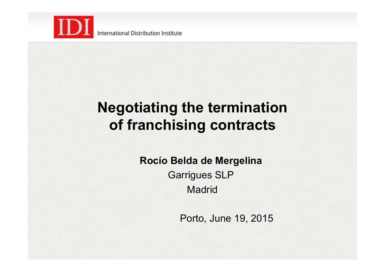

International Distribution Institute

# **Negotiating the termination of franchising contracts**

**Rocío Belda de Mergelina**  Garrigues SLP **Madrid** 

Porto, June 19, 2015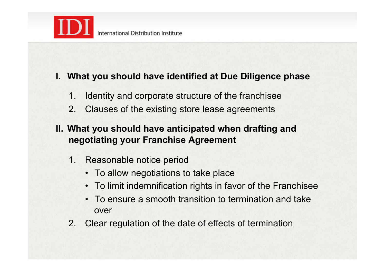

#### **I. What you should have identified at Due Diligence phase**

- 1. Identity and corporate structure of the franchisee
- 2. Clauses of the existing store lease agreements
- **II. What you should have anticipated when drafting and negotiating your Franchise Agreement** 
	- 1. Reasonable notice period
		- To allow negotiations to take place
		- To limit indemnification rights in favor of the Franchisee
		- To ensure a smooth transition to termination and take over
	- 2. Clear regulation of the date of effects of termination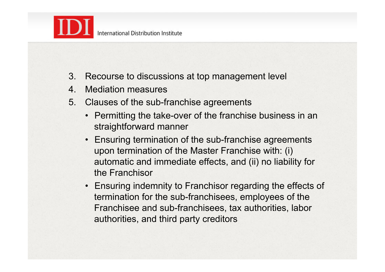

- 3. Recourse to discussions at top management level
- 4. Mediation measures
- 5. Clauses of the sub-franchise agreements
	- Permitting the take-over of the franchise business in an straightforward manner
	- Ensuring termination of the sub-franchise agreements upon termination of the Master Franchise with: (i) automatic and immediate effects, and (ii) no liability for the Franchisor
	- Ensuring indemnity to Franchisor regarding the effects of termination for the sub-franchisees, employees of the Franchisee and sub-franchisees, tax authorities, labor authorities, and third party creditors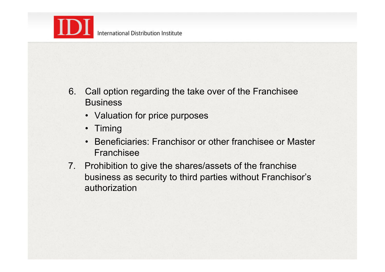

- 6. Call option regarding the take over of the Franchisee **Business** 
	- Valuation for price purposes
	- Timing
	- Beneficiaries: Franchisor or other franchisee or Master Franchisee
- 7. Prohibition to give the shares/assets of the franchise business as security to third parties without Franchisor's authorization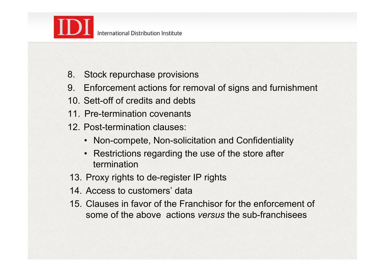

- 8. Stock repurchase provisions
- 9. Enforcement actions for removal of signs and furnishment
- 10. Sett-off of credits and debts
- 11. Pre-termination covenants
- 12. Post-termination clauses:
	- Non-compete, Non-solicitation and Confidentiality
	- Restrictions regarding the use of the store after termination
- 13. Proxy rights to de-register IP rights
- 14. Access to customers' data
- 15. Clauses in favor of the Franchisor for the enforcement of some of the above actions *versus* the sub-franchisees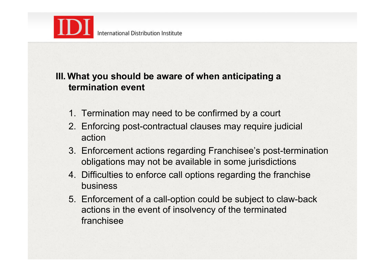

## **III.What you should be aware of when anticipating a termination event**

- 1. Termination may need to be confirmed by a court
- 2. Enforcing post-contractual clauses may require judicial action
- 3. Enforcement actions regarding Franchisee's post-termination obligations may not be available in some jurisdictions
- 4. Difficulties to enforce call options regarding the franchise business
- 5. Enforcement of a call-option could be subject to claw-back actions in the event of insolvency of the terminated franchisee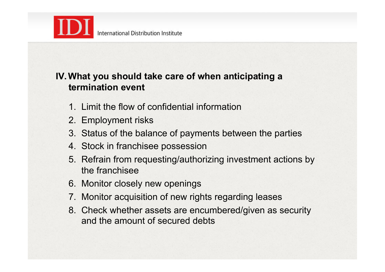

## **IV.What you should take care of when anticipating a termination event**

- 1. Limit the flow of confidential information
- 2. Employment risks
- 3. Status of the balance of payments between the parties
- 4. Stock in franchisee possession
- 5. Refrain from requesting/authorizing investment actions by the franchisee
- 6. Monitor closely new openings
- 7. Monitor acquisition of new rights regarding leases
- 8. Check whether assets are encumbered/given as security and the amount of secured debts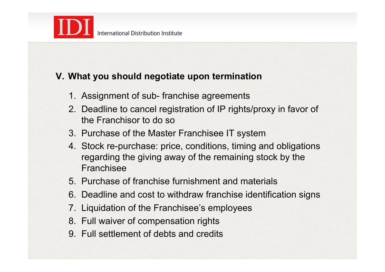

## **V. What you should negotiate upon termination**

- 1. Assignment of sub- franchise agreements
- 2. Deadline to cancel registration of IP rights/proxy in favor of the Franchisor to do so
- 3. Purchase of the Master Franchisee IT system
- 4. Stock re-purchase: price, conditions, timing and obligations regarding the giving away of the remaining stock by the Franchisee
- 5. Purchase of franchise furnishment and materials
- 6. Deadline and cost to withdraw franchise identification signs
- 7. Liquidation of the Franchisee's employees
- 8. Full waiver of compensation rights
- 9. Full settlement of debts and credits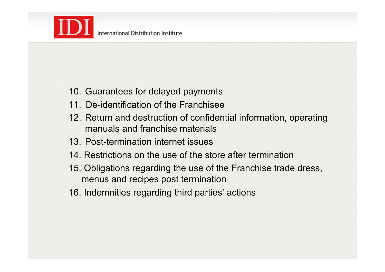

- 10. Guarantees for delayed payments
- 11. De-identification of the Franchisee
- 12. Return and destruction of confidential information, operating manuals and franchise materials
- 13. Post-termination internet issues
- 14. Restrictions on the use of the store after termination
- 15. Obligations regarding the use of the Franchise trade dress, menus and recipes post termination
- 16. Indemnities regarding third parties' actions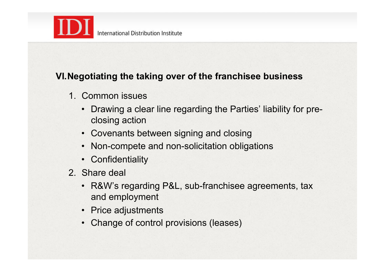

## **VI.Negotiating the taking over of the franchisee business**

- 1. Common issues
	- Drawing a clear line regarding the Parties' liability for preclosing action
	- Covenants between signing and closing
	- Non-compete and non-solicitation obligations
	- Confidentiality
- 2. Share deal
	- R&W's regarding P&L, sub-franchisee agreements, tax and employment
	- Price adjustments
	- Change of control provisions (leases)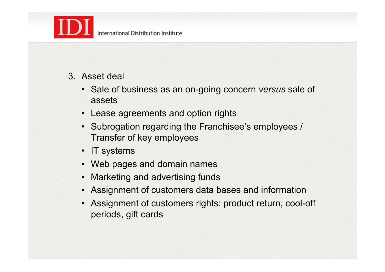

- 3. Asset deal
	- Sale of business as an on-going concern *versus* sale of assets
	- Lease agreements and option rights
	- Subrogation regarding the Franchisee's employees / Transfer of key employees
	- IT systems
	- Web pages and domain names
	- Marketing and advertising funds
	- Assignment of customers data bases and information
	- Assignment of customers rights: product return, cool-off periods, gift cards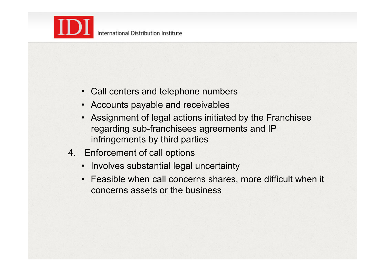

- Call centers and telephone numbers
- Accounts payable and receivables
- Assignment of legal actions initiated by the Franchisee regarding sub-franchisees agreements and IP infringements by third parties
- 4. Enforcement of call options
	- Involves substantial legal uncertainty
	- Feasible when call concerns shares, more difficult when it concerns assets or the business